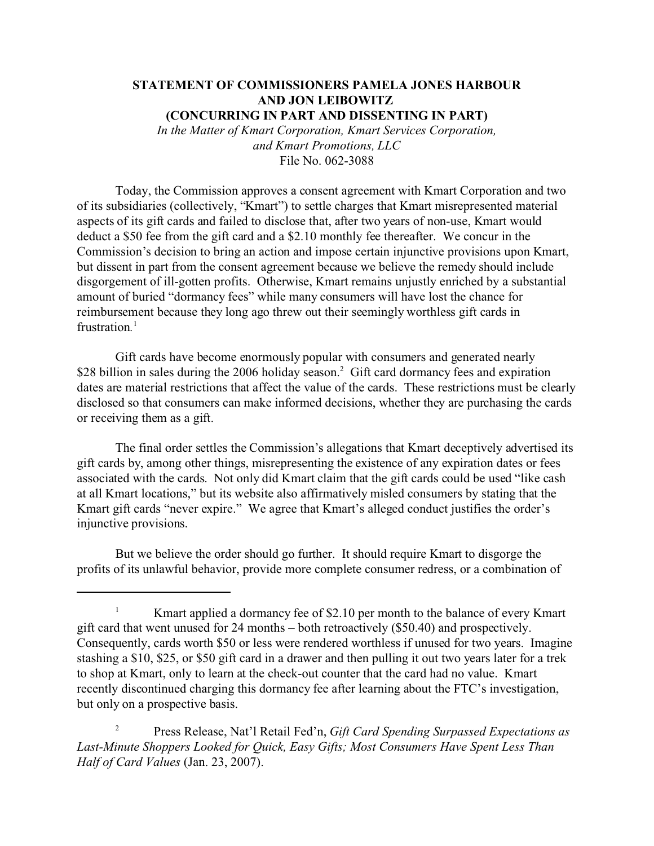## **STATEMENT OF COMMISSIONERS PAMELA JONES HARBOUR AND JON LEIBOWITZ (CONCURRING IN PART AND DISSENTING IN PART)**

*In the Matter of Kmart Corporation, Kmart Services Corporation, and Kmart Promotions, LLC* File No. 062-3088

Today, the Commission approves a consent agreement with Kmart Corporation and two of its subsidiaries (collectively, "Kmart") to settle charges that Kmart misrepresented material aspects of its gift cards and failed to disclose that, after two years of non-use, Kmart would deduct a \$50 fee from the gift card and a \$2.10 monthly fee thereafter. We concur in the Commission's decision to bring an action and impose certain injunctive provisions upon Kmart, but dissent in part from the consent agreement because we believe the remedy should include disgorgement of ill-gotten profits. Otherwise, Kmart remains unjustly enriched by a substantial amount of buried "dormancy fees" while many consumers will have lost the chance for reimbursement because they long ago threw out their seemingly worthless gift cards in frustration*.* 1

Gift cards have become enormously popular with consumers and generated nearly \$28 billion in sales during the 2006 holiday season.<sup>2</sup> Gift card dormancy fees and expiration dates are material restrictions that affect the value of the cards. These restrictions must be clearly disclosed so that consumers can make informed decisions, whether they are purchasing the cards or receiving them as a gift.

The final order settles the Commission's allegations that Kmart deceptively advertised its gift cards by, among other things, misrepresenting the existence of any expiration dates or fees associated with the cards. Not only did Kmart claim that the gift cards could be used "like cash at all Kmart locations," but its website also affirmatively misled consumers by stating that the Kmart gift cards "never expire." We agree that Kmart's alleged conduct justifies the order's injunctive provisions.

But we believe the order should go further. It should require Kmart to disgorge the profits of its unlawful behavior, provide more complete consumer redress, or a combination of

<sup>2</sup> Press Release, Nat'l Retail Fed'n, *Gift Card Spending Surpassed Expectations as Last-Minute Shoppers Looked for Quick, Easy Gifts; Most Consumers Have Spent Less Than Half of Card Values* (Jan. 23, 2007).

<sup>&</sup>lt;sup>1</sup> Kmart applied a dormancy fee of \$2.10 per month to the balance of every Kmart gift card that went unused for 24 months – both retroactively (\$50.40) and prospectively. Consequently, cards worth \$50 or less were rendered worthless if unused for two years. Imagine stashing a \$10, \$25, or \$50 gift card in a drawer and then pulling it out two years later for a trek to shop at Kmart, only to learn at the check-out counter that the card had no value. Kmart recently discontinued charging this dormancy fee after learning about the FTC's investigation, but only on a prospective basis.